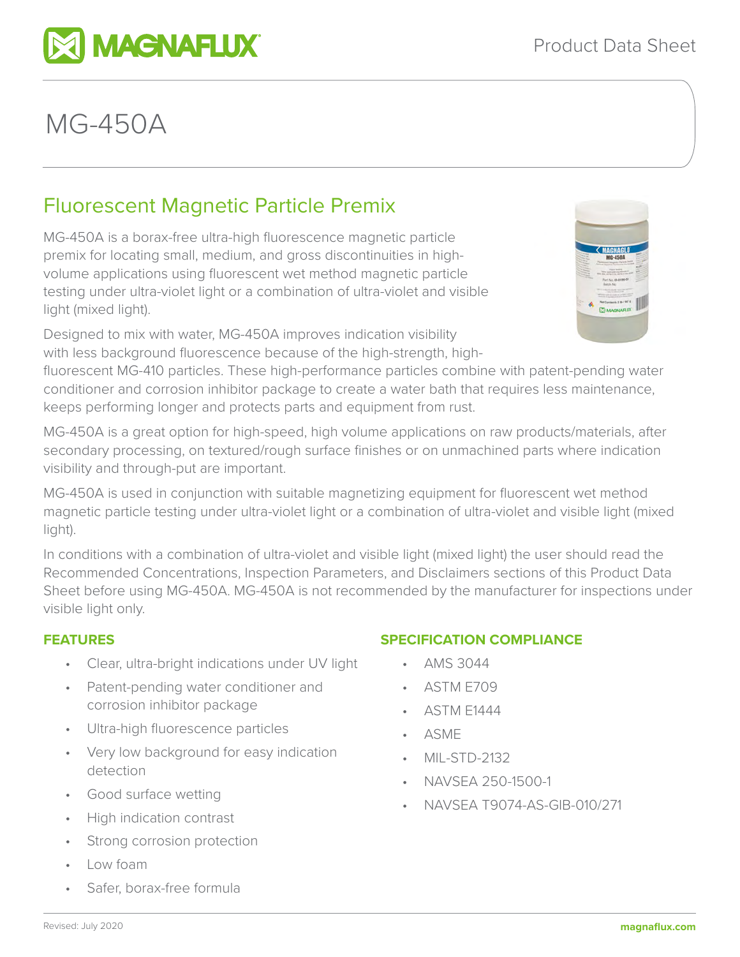# MG-450A

# Fluorescent Magnetic Particle Premix

**MAGNAFLUX** 

MG-450A is a borax-free ultra-high fluorescence magnetic particle premix for locating small, medium, and gross discontinuities in highvolume applications using fluorescent wet method magnetic particle testing under ultra-violet light or a combination of ultra-violet and visible light (mixed light).

Designed to mix with water, MG-450A improves indication visibility with less background fluorescence because of the high-strength, high-



fluorescent MG-410 particles. These high-performance particles combine with patent-pending water conditioner and corrosion inhibitor package to create a water bath that requires less maintenance, keeps performing longer and protects parts and equipment from rust.

MG-450A is a great option for high-speed, high volume applications on raw products/materials, after secondary processing, on textured/rough surface finishes or on unmachined parts where indication visibility and through-put are important.

MG-450A is used in conjunction with suitable magnetizing equipment for fluorescent wet method magnetic particle testing under ultra-violet light or a combination of ultra-violet and visible light (mixed light).

In conditions with a combination of ultra-violet and visible light (mixed light) the user should read the Recommended Concentrations, Inspection Parameters, and Disclaimers sections of this Product Data Sheet before using MG-450A. MG-450A is not recommended by the manufacturer for inspections under visible light only.

# **FEATURES**

- Clear, ultra-bright indications under UV light
- Patent-pending water conditioner and corrosion inhibitor package
- Ultra-high fluorescence particles
- Very low background for easy indication detection
- Good surface wetting
- High indication contrast
- Strong corrosion protection
- Low foam
- Safer, borax-free formula

# **SPECIFICATION COMPLIANCE**

- AMS 3044
- ASTM E709
- ASTM E1444
- ASME
- MIL-STD-2132
- NAVSEA 250-1500-1
- NAVSEA T9074-AS-GIB-010/271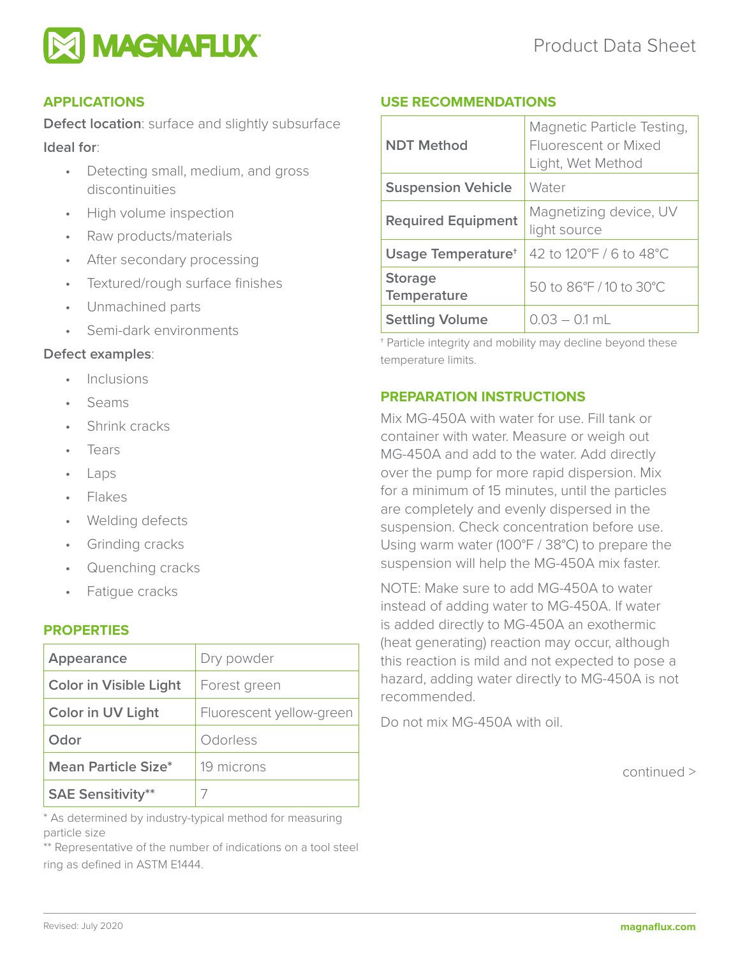

# **APPLICATIONS**

**Defect location**: surface and slightly subsurface **Ideal for**:

- Detecting small, medium, and gross discontinuities
- High volume inspection
- Raw products/materials
- After secondary processing
- Textured/rough surface finishes
- Unmachined parts
- Semi-dark environments

# **Defect examples**:

- **Inclusions**
- Seams
- Shrink cracks
- **Tears**
- Laps
- Flakes
- Welding defects
- Grinding cracks
- Quenching cracks
- Fatigue cracks

# **PROPERTIES**

| Appearance                    | Dry powder               |
|-------------------------------|--------------------------|
| <b>Color in Visible Light</b> | Forest green             |
| Color in UV Light             | Fluorescent yellow-green |
| Odor                          | Odorless                 |
| <b>Mean Particle Size*</b>    | 19 microns               |
| <b>SAE Sensitivity**</b>      |                          |

\* As determined by industry-typical method for measuring particle size

\*\* Representative of the number of indications on a tool steel ring as defined in ASTM E1444.

# **USE RECOMMENDATIONS**

| <b>NDT Method</b>              | Magnetic Particle Testing,<br>Fluorescent or Mixed<br>Light, Wet Method |
|--------------------------------|-------------------------------------------------------------------------|
| <b>Suspension Vehicle</b>      | Water                                                                   |
| <b>Required Equipment</b>      | Magnetizing device, UV<br>light source                                  |
| Usage Temperature <sup>+</sup> | 42 to 120°F / 6 to 48°C                                                 |
| <b>Storage</b><br>Temperature  | 50 to 86°F / 10 to 30°C                                                 |
| <b>Settling Volume</b>         | $0.03 - 0.1$ mL                                                         |

† Particle integrity and mobility may decline beyond these temperature limits.

# **PREPARATION INSTRUCTIONS**

Mix MG-450A with water for use. Fill tank or container with water. Measure or weigh out MG-450A and add to the water. Add directly over the pump for more rapid dispersion. Mix for a minimum of 15 minutes, until the particles are completely and evenly dispersed in the suspension. Check concentration before use. Using warm water (100°F / 38°C) to prepare the suspension will help the MG-450A mix faster.

NOTE: Make sure to add MG-450A to water instead of adding water to MG-450A. If water is added directly to MG-450A an exothermic (heat generating) reaction may occur, although this reaction is mild and not expected to pose a hazard, adding water directly to MG-450A is not recommended.

Do not mix MG-450A with oil.

continued >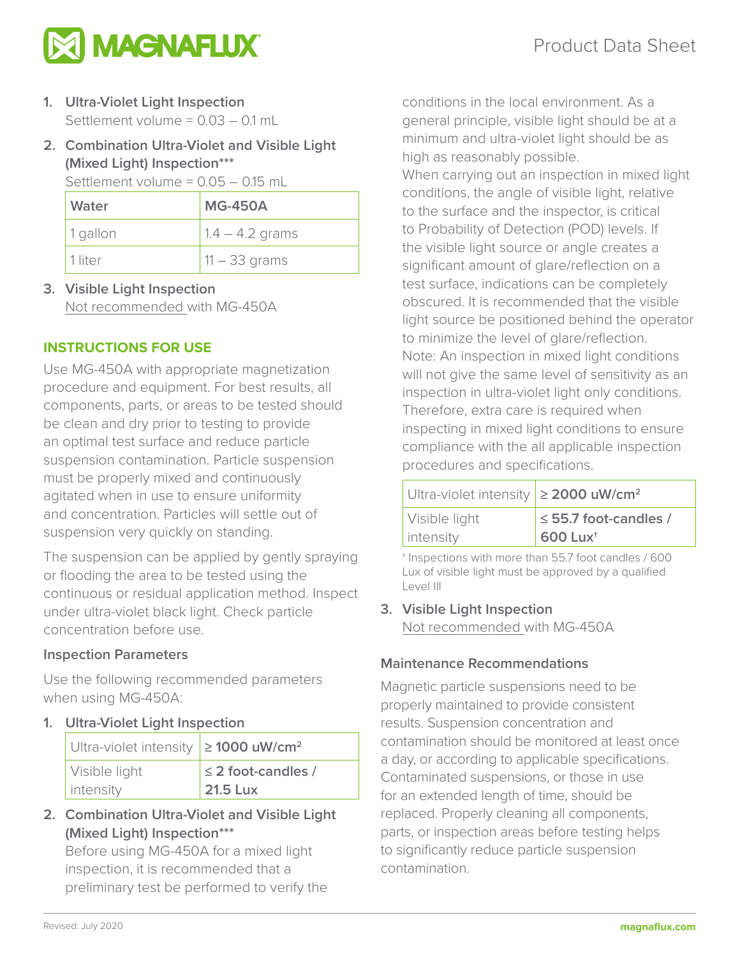

- **1. Ultra-Violet Light Inspection** Settlement volume = 0.03 – 0.1 mL
- **2. Combination Ultra-Violet and Visible Light (Mixed Light) Inspection\*\*\***

Settlement volume =  $0.05 - 0.15$  mL

| Water      | <b>MG-450A</b>    |
|------------|-------------------|
| $1$ qallon | $1.4 - 4.2$ grams |
| 1 liter    | $11 - 33$ grams   |

**3. Visible Light Inspection** Not recommended with MG-450A

# **INSTRUCTIONS FOR USE**

Use MG-450A with appropriate magnetization procedure and equipment. For best results, all components, parts, or areas to be tested should be clean and dry prior to testing to provide an optimal test surface and reduce particle suspension contamination. Particle suspension must be properly mixed and continuously agitated when in use to ensure uniformity and concentration. Particles will settle out of suspension very quickly on standing.

The suspension can be applied by gently spraying or flooding the area to be tested using the continuous or residual application method. Inspect under ultra-violet black light. Check particle concentration before use.

# **Inspection Parameters**

Use the following recommended parameters when using MG-450A:

# **1. Ultra-Violet Light Inspection**

| Ultra-violet intensity $\geq$ 1000 uW/cm <sup>2</sup> |                         |
|-------------------------------------------------------|-------------------------|
| Visible light                                         | $\leq$ 2 foot-candles / |
| intensity                                             | 21.5 Lux                |

**2. Combination Ultra-Violet and Visible Light (Mixed Light) Inspection\*\*\***

Before using MG-450A for a mixed light inspection, it is recommended that a preliminary test be performed to verify the

conditions in the local environment. As a general principle, visible light should be at a minimum and ultra-violet light should be as high as reasonably possible.

When carrying out an inspection in mixed light conditions, the angle of visible light, relative to the surface and the inspector, is critical to Probability of Detection (POD) levels. If the visible light source or angle creates a significant amount of glare/reflection on a test surface, indications can be completely obscured. It is recommended that the visible light source be positioned behind the operator to minimize the level of glare/reflection. Note: An inspection in mixed light conditions will not give the same level of sensitivity as an inspection in ultra-violet light only conditions. Therefore, extra care is required when inspecting in mixed light conditions to ensure compliance with the all applicable inspection procedures and specifications.

| Ultra-violet intensity $\geq$ 2000 uW/cm <sup>2</sup> |                           |
|-------------------------------------------------------|---------------------------|
| Visible light                                         | $\le$ 55.7 foot-candles / |
| intensity                                             | $600$ Lux <sup>t</sup>    |

† Inspections with more than 55.7 foot candles / 600 Lux of visible light must be approved by a qualified Level III

**3. Visible Light Inspection** Not recommended with MG-450A

# **Maintenance Recommendations**

Magnetic particle suspensions need to be properly maintained to provide consistent results. Suspension concentration and contamination should be monitored at least once a day, or according to applicable specifications. Contaminated suspensions, or those in use for an extended length of time, should be replaced. Properly cleaning all components, parts, or inspection areas before testing helps to significantly reduce particle suspension contamination.